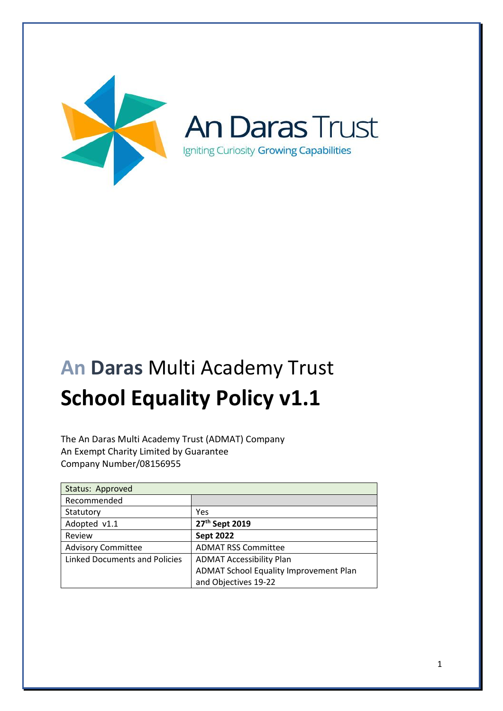

# **An Daras** Multi Academy Trust **School Equality Policy v1.1**

The An Daras Multi Academy Trust (ADMAT) Company An Exempt Charity Limited by Guarantee Company Number/08156955

| Status: Approved                     |                                        |
|--------------------------------------|----------------------------------------|
| Recommended                          |                                        |
| Statutory                            | Yes                                    |
| Adopted v1.1                         | 27 <sup>th</sup> Sept 2019             |
| Review                               | <b>Sept 2022</b>                       |
| <b>Advisory Committee</b>            | <b>ADMAT RSS Committee</b>             |
| <b>Linked Documents and Policies</b> | <b>ADMAT Accessibility Plan</b>        |
|                                      | ADMAT School Equality Improvement Plan |
|                                      | and Objectives 19-22                   |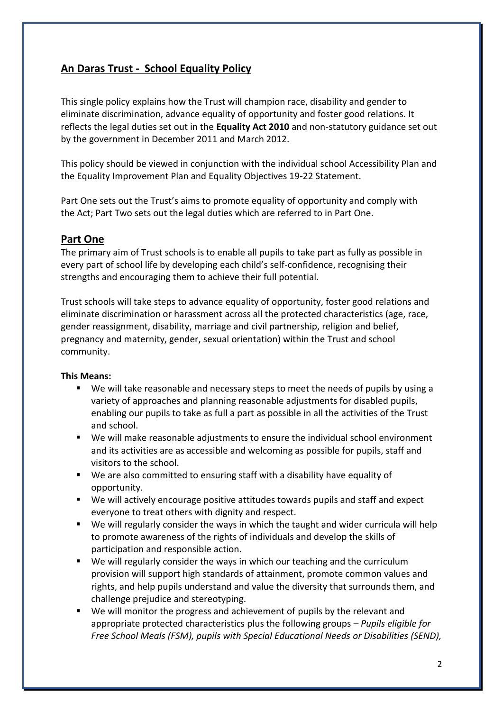# **An Daras Trust - School Equality Policy**

This single policy explains how the Trust will champion race, disability and gender to eliminate discrimination, advance equality of opportunity and foster good relations. It reflects the legal duties set out in the **Equality Act 2010** and non-statutory guidance set out by the government in December 2011 and March 2012.

This policy should be viewed in conjunction with the individual school Accessibility Plan and the Equality Improvement Plan and Equality Objectives 19-22 Statement.

Part One sets out the Trust's aims to promote equality of opportunity and comply with the Act; Part Two sets out the legal duties which are referred to in Part One.

# **Part One**

The primary aim of Trust schools is to enable all pupils to take part as fully as possible in every part of school life by developing each child's self-confidence, recognising their strengths and encouraging them to achieve their full potential.

Trust schools will take steps to advance equality of opportunity, foster good relations and eliminate discrimination or harassment across all the protected characteristics (age, race, gender reassignment, disability, marriage and civil partnership, religion and belief, pregnancy and maternity, gender, sexual orientation) within the Trust and school community.

# **This Means:**

- We will take reasonable and necessary steps to meet the needs of pupils by using a variety of approaches and planning reasonable adjustments for disabled pupils, enabling our pupils to take as full a part as possible in all the activities of the Trust and school.
- We will make reasonable adjustments to ensure the individual school environment and its activities are as accessible and welcoming as possible for pupils, staff and visitors to the school.
- We are also committed to ensuring staff with a disability have equality of opportunity.
- We will actively encourage positive attitudes towards pupils and staff and expect everyone to treat others with dignity and respect.
- We will regularly consider the ways in which the taught and wider curricula will help to promote awareness of the rights of individuals and develop the skills of participation and responsible action.
- We will regularly consider the ways in which our teaching and the curriculum provision will support high standards of attainment, promote common values and rights, and help pupils understand and value the diversity that surrounds them, and challenge prejudice and stereotyping.
- We will monitor the progress and achievement of pupils by the relevant and appropriate protected characteristics plus the following groups *– Pupils eligible for Free School Meals (FSM), pupils with Special Educational Needs or Disabilities (SEND),*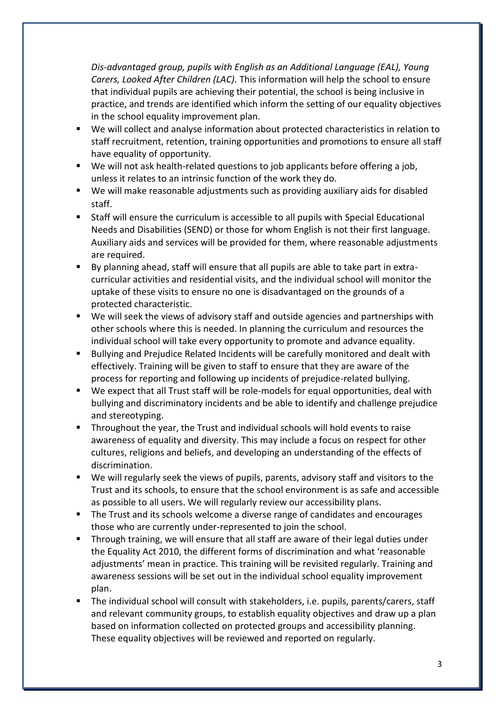*Dis-advantaged group, pupils with English as an Additional Language (EAL), Young Carers, Looked After Children (LAC).* This information will help the school to ensure that individual pupils are achieving their potential, the school is being inclusive in practice, and trends are identified which inform the setting of our equality objectives in the school equality improvement plan.

- We will collect and analyse information about protected characteristics in relation to staff recruitment, retention, training opportunities and promotions to ensure all staff have equality of opportunity.
- We will not ask health-related questions to job applicants before offering a job, unless it relates to an intrinsic function of the work they do.
- We will make reasonable adjustments such as providing auxiliary aids for disabled staff.
- Staff will ensure the curriculum is accessible to all pupils with Special Educational Needs and Disabilities (SEND) or those for whom English is not their first language. Auxiliary aids and services will be provided for them, where reasonable adjustments are required.
- By planning ahead, staff will ensure that all pupils are able to take part in extracurricular activities and residential visits, and the individual school will monitor the uptake of these visits to ensure no one is disadvantaged on the grounds of a protected characteristic.
- We will seek the views of advisory staff and outside agencies and partnerships with other schools where this is needed. In planning the curriculum and resources the individual school will take every opportunity to promote and advance equality.
- Bullying and Prejudice Related Incidents will be carefully monitored and dealt with effectively. Training will be given to staff to ensure that they are aware of the process for reporting and following up incidents of prejudice-related bullying.
- We expect that all Trust staff will be role-models for equal opportunities, deal with bullying and discriminatory incidents and be able to identify and challenge prejudice and stereotyping.
- Throughout the year, the Trust and individual schools will hold events to raise awareness of equality and diversity. This may include a focus on respect for other cultures, religions and beliefs, and developing an understanding of the effects of discrimination.
- We will regularly seek the views of pupils, parents, advisory staff and visitors to the Trust and its schools, to ensure that the school environment is as safe and accessible as possible to all users. We will regularly review our accessibility plans.
- The Trust and its schools welcome a diverse range of candidates and encourages those who are currently under-represented to join the school.
- Through training, we will ensure that all staff are aware of their legal duties under the Equality Act 2010, the different forms of discrimination and what 'reasonable adjustments' mean in practice. This training will be revisited regularly. Training and awareness sessions will be set out in the individual school equality improvement plan.
- The individual school will consult with stakeholders, i.e. pupils, parents/carers, staff and relevant community groups, to establish equality objectives and draw up a plan based on information collected on protected groups and accessibility planning. These equality objectives will be reviewed and reported on regularly.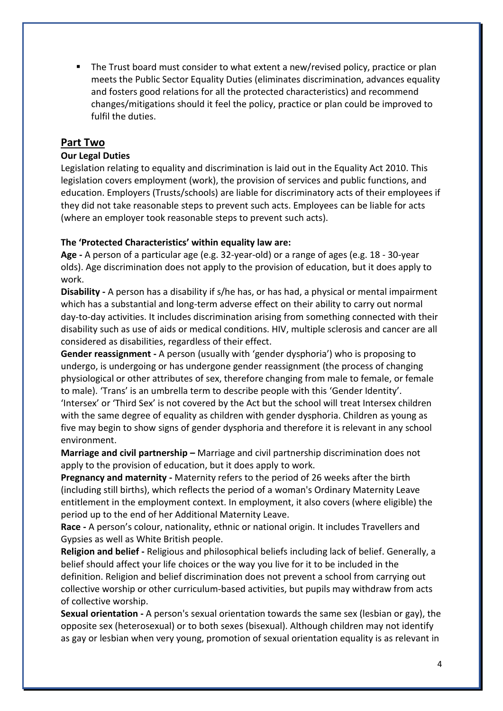**■** The Trust board must consider to what extent a new/revised policy, practice or plan meets the Public Sector Equality Duties (eliminates discrimination, advances equality and fosters good relations for all the protected characteristics) and recommend changes/mitigations should it feel the policy, practice or plan could be improved to fulfil the duties.

# **Part Two**

# **Our Legal Duties**

Legislation relating to equality and discrimination is laid out in the Equality Act 2010. This legislation covers employment (work), the provision of services and public functions, and education. Employers (Trusts/schools) are liable for discriminatory acts of their employees if they did not take reasonable steps to prevent such acts. Employees can be liable for acts (where an employer took reasonable steps to prevent such acts).

#### **The 'Protected Characteristics' within equality law are:**

**Age -** A person of a particular age (e.g. 32-year-old) or a range of ages (e.g. 18 - 30-year olds). Age discrimination does not apply to the provision of education, but it does apply to work.

**Disability -** A person has a disability if s/he has, or has had, a physical or mental impairment which has a substantial and long-term adverse effect on their ability to carry out normal day-to-day activities. It includes discrimination arising from something connected with their disability such as use of aids or medical conditions. HIV, multiple sclerosis and cancer are all considered as disabilities, regardless of their effect.

**Gender reassignment -** A person (usually with 'gender dysphoria') who is proposing to undergo, is undergoing or has undergone gender reassignment (the process of changing physiological or other attributes of sex, therefore changing from male to female, or female to male). 'Trans' is an umbrella term to describe people with this 'Gender Identity'.

'Intersex' or 'Third Sex' is not covered by the Act but the school will treat Intersex children with the same degree of equality as children with gender dysphoria. Children as young as five may begin to show signs of gender dysphoria and therefore it is relevant in any school environment.

**Marriage and civil partnership –** Marriage and civil partnership discrimination does not apply to the provision of education, but it does apply to work.

**Pregnancy and maternity -** Maternity refers to the period of 26 weeks after the birth (including still births), which reflects the period of a woman's Ordinary Maternity Leave entitlement in the employment context. In employment, it also covers (where eligible) the period up to the end of her Additional Maternity Leave.

**Race -** A person's colour, nationality, ethnic or national origin. It includes Travellers and Gypsies as well as White British people.

**Religion and belief -** Religious and philosophical beliefs including lack of belief. Generally, a belief should affect your life choices or the way you live for it to be included in the definition. Religion and belief discrimination does not prevent a school from carrying out collective worship or other curriculum-based activities, but pupils may withdraw from acts of collective worship.

**Sexual orientation -** A person's sexual orientation towards the same sex (lesbian or gay), the opposite sex (heterosexual) or to both sexes (bisexual). Although children may not identify as gay or lesbian when very young, promotion of sexual orientation equality is as relevant in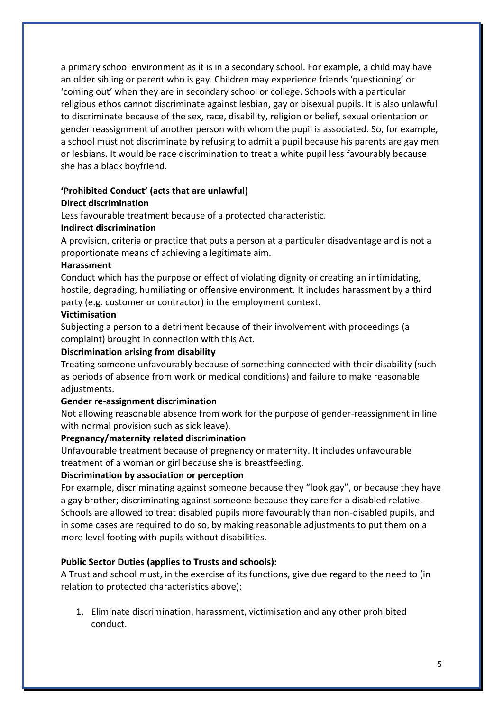a primary school environment as it is in a secondary school. For example, a child may have an older sibling or parent who is gay. Children may experience friends 'questioning' or 'coming out' when they are in secondary school or college. Schools with a particular religious ethos cannot discriminate against lesbian, gay or bisexual pupils. It is also unlawful to discriminate because of the sex, race, disability, religion or belief, sexual orientation or gender reassignment of another person with whom the pupil is associated. So, for example, a school must not discriminate by refusing to admit a pupil because his parents are gay men or lesbians. It would be race discrimination to treat a white pupil less favourably because she has a black boyfriend.

#### **'Prohibited Conduct' (acts that are unlawful) Direct discrimination**

Less favourable treatment because of a protected characteristic.

## **Indirect discrimination**

A provision, criteria or practice that puts a person at a particular disadvantage and is not a proportionate means of achieving a legitimate aim.

#### **Harassment**

Conduct which has the purpose or effect of violating dignity or creating an intimidating, hostile, degrading, humiliating or offensive environment. It includes harassment by a third party (e.g. customer or contractor) in the employment context.

#### **Victimisation**

Subjecting a person to a detriment because of their involvement with proceedings (a complaint) brought in connection with this Act.

#### **Discrimination arising from disability**

Treating someone unfavourably because of something connected with their disability (such as periods of absence from work or medical conditions) and failure to make reasonable adjustments.

#### **Gender re-assignment discrimination**

Not allowing reasonable absence from work for the purpose of gender-reassignment in line with normal provision such as sick leave).

#### **Pregnancy/maternity related discrimination**

Unfavourable treatment because of pregnancy or maternity. It includes unfavourable treatment of a woman or girl because she is breastfeeding.

#### **Discrimination by association or perception**

For example, discriminating against someone because they "look gay", or because they have a gay brother; discriminating against someone because they care for a disabled relative. Schools are allowed to treat disabled pupils more favourably than non-disabled pupils, and in some cases are required to do so, by making reasonable adjustments to put them on a more level footing with pupils without disabilities.

#### **Public Sector Duties (applies to Trusts and schools):**

A Trust and school must, in the exercise of its functions, give due regard to the need to (in relation to protected characteristics above):

1. Eliminate discrimination, harassment, victimisation and any other prohibited conduct.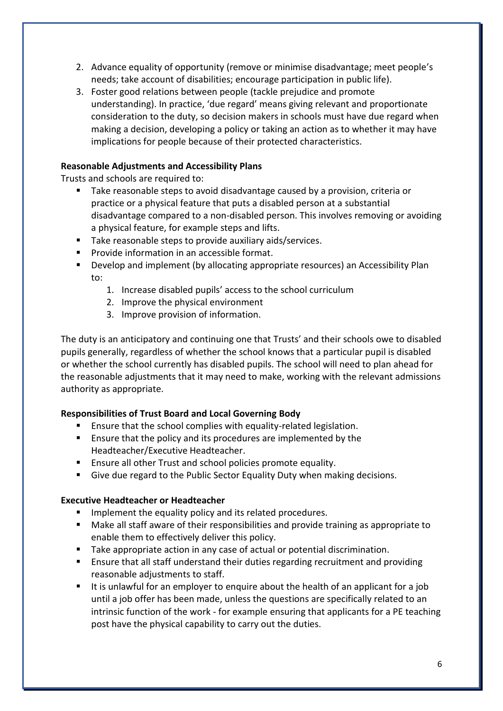- 2. Advance equality of opportunity (remove or minimise disadvantage; meet people's needs; take account of disabilities; encourage participation in public life).
- 3. Foster good relations between people (tackle prejudice and promote understanding). In practice, 'due regard' means giving relevant and proportionate consideration to the duty, so decision makers in schools must have due regard when making a decision, developing a policy or taking an action as to whether it may have implications for people because of their protected characteristics.

# **Reasonable Adjustments and Accessibility Plans**

Trusts and schools are required to:

- Take reasonable steps to avoid disadvantage caused by a provision, criteria or practice or a physical feature that puts a disabled person at a substantial disadvantage compared to a non-disabled person. This involves removing or avoiding a physical feature, for example steps and lifts.
- Take reasonable steps to provide auxiliary aids/services.
- Provide information in an accessible format.
- Develop and implement (by allocating appropriate resources) an Accessibility Plan to:
	- 1. Increase disabled pupils' access to the school curriculum
	- 2. Improve the physical environment
	- 3. Improve provision of information.

The duty is an anticipatory and continuing one that Trusts' and their schools owe to disabled pupils generally, regardless of whether the school knows that a particular pupil is disabled or whether the school currently has disabled pupils. The school will need to plan ahead for the reasonable adjustments that it may need to make, working with the relevant admissions authority as appropriate.

## **Responsibilities of Trust Board and Local Governing Body**

- Ensure that the school complies with equality-related legislation.
- Ensure that the policy and its procedures are implemented by the Headteacher/Executive Headteacher.
- Ensure all other Trust and school policies promote equality.
- Give due regard to the Public Sector Equality Duty when making decisions.

## **Executive Headteacher or Headteacher**

- Implement the equality policy and its related procedures.
- Make all staff aware of their responsibilities and provide training as appropriate to enable them to effectively deliver this policy.
- Take appropriate action in any case of actual or potential discrimination.
- Ensure that all staff understand their duties regarding recruitment and providing reasonable adjustments to staff.
- It is unlawful for an employer to enquire about the health of an applicant for a job until a job offer has been made, unless the questions are specifically related to an intrinsic function of the work - for example ensuring that applicants for a PE teaching post have the physical capability to carry out the duties.